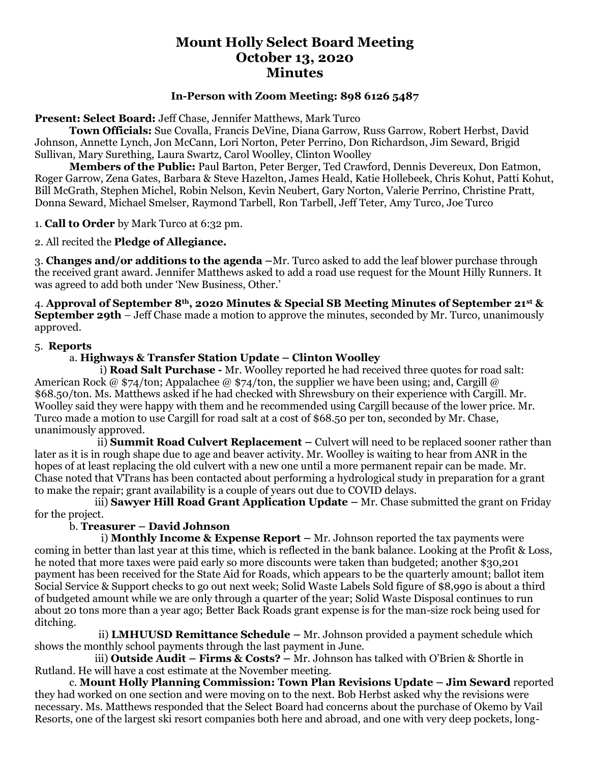# **Mount Holly Select Board Meeting October 13, 2020 Minutes**

### **In-Person with Zoom Meeting: 898 6126 5487**

### **Present: Select Board:** Jeff Chase, Jennifer Matthews, Mark Turco

**Town Officials:** Sue Covalla, Francis DeVine, Diana Garrow, Russ Garrow, Robert Herbst, David Johnson, Annette Lynch, Jon McCann, Lori Norton, Peter Perrino, Don Richardson, Jim Seward, Brigid Sullivan, Mary Surething, Laura Swartz, Carol Woolley, Clinton Woolley

**Members of the Public:** Paul Barton, Peter Berger, Ted Crawford, Dennis Devereux, Don Eatmon, Roger Garrow, Zena Gates, Barbara & Steve Hazelton, James Heald, Katie Hollebeek, Chris Kohut, Patti Kohut, Bill McGrath, Stephen Michel, Robin Nelson, Kevin Neubert, Gary Norton, Valerie Perrino, Christine Pratt, Donna Seward, Michael Smelser, Raymond Tarbell, Ron Tarbell, Jeff Teter, Amy Turco, Joe Turco

1. **Call to Order** by Mark Turco at 6:32 pm.

2. All recited the **Pledge of Allegiance.**

3. **Changes and/or additions to the agenda –**Mr. Turco asked to add the leaf blower purchase through the received grant award. Jennifer Matthews asked to add a road use request for the Mount Hilly Runners. It was agreed to add both under 'New Business, Other.'

4. **Approval of September 8th, 2020 Minutes & Special SB Meeting Minutes of September 21st & September 29th** – Jeff Chase made a motion to approve the minutes, seconded by Mr. Turco, unanimously approved.

### 5. **Reports**

### a. **Highways & Transfer Station Update – Clinton Woolley**

 i) **Road Salt Purchase -** Mr. Woolley reported he had received three quotes for road salt: American Rock @ \$74/ton; Appalachee @ \$74/ton, the supplier we have been using; and, Cargill @ \$68.50/ton. Ms. Matthews asked if he had checked with Shrewsbury on their experience with Cargill. Mr. Woolley said they were happy with them and he recommended using Cargill because of the lower price. Mr. Turco made a motion to use Cargill for road salt at a cost of \$68.50 per ton, seconded by Mr. Chase, unanimously approved.

 ii) **Summit Road Culvert Replacement –** Culvert will need to be replaced sooner rather than later as it is in rough shape due to age and beaver activity. Mr. Woolley is waiting to hear from ANR in the hopes of at least replacing the old culvert with a new one until a more permanent repair can be made. Mr. Chase noted that VTrans has been contacted about performing a hydrological study in preparation for a grant to make the repair; grant availability is a couple of years out due to COVID delays.

 iii) **Sawyer Hill Road Grant Application Update –** Mr. Chase submitted the grant on Friday for the project.

# b. **Treasurer – David Johnson**

 i) **Monthly Income & Expense Report –** Mr. Johnson reported the tax payments were coming in better than last year at this time, which is reflected in the bank balance. Looking at the Profit & Loss, he noted that more taxes were paid early so more discounts were taken than budgeted; another \$30,201 payment has been received for the State Aid for Roads, which appears to be the quarterly amount; ballot item Social Service & Support checks to go out next week; Solid Waste Labels Sold figure of \$8,990 is about a third of budgeted amount while we are only through a quarter of the year; Solid Waste Disposal continues to run about 20 tons more than a year ago; Better Back Roads grant expense is for the man-size rock being used for ditching.

 ii) **LMHUUSD Remittance Schedule –** Mr. Johnson provided a payment schedule which shows the monthly school payments through the last payment in June.

 iii) **Outside Audit – Firms & Costs? –** Mr. Johnson has talked with O'Brien & Shortle in Rutland. He will have a cost estimate at the November meeting.

c. **Mount Holly Planning Commission: Town Plan Revisions Update – Jim Seward** reported they had worked on one section and were moving on to the next. Bob Herbst asked why the revisions were necessary. Ms. Matthews responded that the Select Board had concerns about the purchase of Okemo by Vail Resorts, one of the largest ski resort companies both here and abroad, and one with very deep pockets, long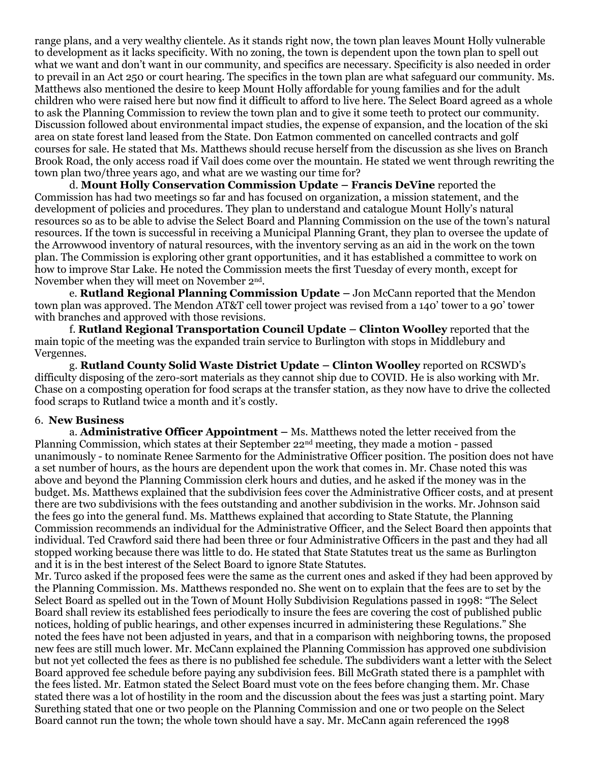range plans, and a very wealthy clientele. As it stands right now, the town plan leaves Mount Holly vulnerable to development as it lacks specificity. With no zoning, the town is dependent upon the town plan to spell out what we want and don't want in our community, and specifics are necessary. Specificity is also needed in order to prevail in an Act 250 or court hearing. The specifics in the town plan are what safeguard our community. Ms. Matthews also mentioned the desire to keep Mount Holly affordable for young families and for the adult children who were raised here but now find it difficult to afford to live here. The Select Board agreed as a whole to ask the Planning Commission to review the town plan and to give it some teeth to protect our community. Discussion followed about environmental impact studies, the expense of expansion, and the location of the ski area on state forest land leased from the State. Don Eatmon commented on cancelled contracts and golf courses for sale. He stated that Ms. Matthews should recuse herself from the discussion as she lives on Branch Brook Road, the only access road if Vail does come over the mountain. He stated we went through rewriting the town plan two/three years ago, and what are we wasting our time for?

d. **Mount Holly Conservation Commission Update – Francis DeVine** reported the Commission has had two meetings so far and has focused on organization, a mission statement, and the development of policies and procedures. They plan to understand and catalogue Mount Holly's natural resources so as to be able to advise the Select Board and Planning Commission on the use of the town's natural resources. If the town is successful in receiving a Municipal Planning Grant, they plan to oversee the update of the Arrowwood inventory of natural resources, with the inventory serving as an aid in the work on the town plan. The Commission is exploring other grant opportunities, and it has established a committee to work on how to improve Star Lake. He noted the Commission meets the first Tuesday of every month, except for November when they will meet on November 2<sup>nd</sup>.

e. **Rutland Regional Planning Commission Update –** Jon McCann reported that the Mendon town plan was approved. The Mendon AT&T cell tower project was revised from a 140' tower to a 90' tower with branches and approved with those revisions.

f. **Rutland Regional Transportation Council Update – Clinton Woolley** reported that the main topic of the meeting was the expanded train service to Burlington with stops in Middlebury and Vergennes.

g. **Rutland County Solid Waste District Update – Clinton Woolley** reported on RCSWD's difficulty disposing of the zero-sort materials as they cannot ship due to COVID. He is also working with Mr. Chase on a composting operation for food scraps at the transfer station, as they now have to drive the collected food scraps to Rutland twice a month and it's costly.

#### 6. **New Business**

a. **Administrative Officer Appointment –** Ms. Matthews noted the letter received from the Planning Commission, which states at their September 22<sup>nd</sup> meeting, they made a motion - passed unanimously - to nominate Renee Sarmento for the Administrative Officer position. The position does not have a set number of hours, as the hours are dependent upon the work that comes in. Mr. Chase noted this was above and beyond the Planning Commission clerk hours and duties, and he asked if the money was in the budget. Ms. Matthews explained that the subdivision fees cover the Administrative Officer costs, and at present there are two subdivisions with the fees outstanding and another subdivision in the works. Mr. Johnson said the fees go into the general fund. Ms. Matthews explained that according to State Statute, the Planning Commission recommends an individual for the Administrative Officer, and the Select Board then appoints that individual. Ted Crawford said there had been three or four Administrative Officers in the past and they had all stopped working because there was little to do. He stated that State Statutes treat us the same as Burlington and it is in the best interest of the Select Board to ignore State Statutes.

Mr. Turco asked if the proposed fees were the same as the current ones and asked if they had been approved by the Planning Commission. Ms. Matthews responded no. She went on to explain that the fees are to set by the Select Board as spelled out in the Town of Mount Holly Subdivision Regulations passed in 1998: "The Select Board shall review its established fees periodically to insure the fees are covering the cost of published public notices, holding of public hearings, and other expenses incurred in administering these Regulations." She noted the fees have not been adjusted in years, and that in a comparison with neighboring towns, the proposed new fees are still much lower. Mr. McCann explained the Planning Commission has approved one subdivision but not yet collected the fees as there is no published fee schedule. The subdividers want a letter with the Select Board approved fee schedule before paying any subdivision fees. Bill McGrath stated there is a pamphlet with the fees listed. Mr. Eatmon stated the Select Board must vote on the fees before changing them. Mr. Chase stated there was a lot of hostility in the room and the discussion about the fees was just a starting point. Mary Surething stated that one or two people on the Planning Commission and one or two people on the Select Board cannot run the town; the whole town should have a say. Mr. McCann again referenced the 1998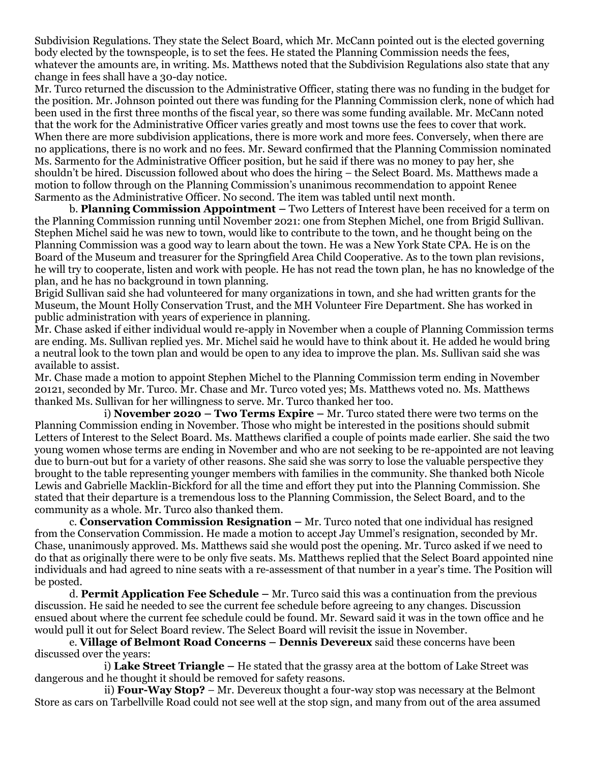Subdivision Regulations. They state the Select Board, which Mr. McCann pointed out is the elected governing body elected by the townspeople, is to set the fees. He stated the Planning Commission needs the fees, whatever the amounts are, in writing. Ms. Matthews noted that the Subdivision Regulations also state that any change in fees shall have a 30-day notice.

Mr. Turco returned the discussion to the Administrative Officer, stating there was no funding in the budget for the position. Mr. Johnson pointed out there was funding for the Planning Commission clerk, none of which had been used in the first three months of the fiscal year, so there was some funding available. Mr. McCann noted that the work for the Administrative Officer varies greatly and most towns use the fees to cover that work. When there are more subdivision applications, there is more work and more fees. Conversely, when there are no applications, there is no work and no fees. Mr. Seward confirmed that the Planning Commission nominated Ms. Sarmento for the Administrative Officer position, but he said if there was no money to pay her, she shouldn't be hired. Discussion followed about who does the hiring – the Select Board. Ms. Matthews made a motion to follow through on the Planning Commission's unanimous recommendation to appoint Renee Sarmento as the Administrative Officer. No second. The item was tabled until next month.

b. **Planning Commission Appointment –** Two Letters of Interest have been received for a term on the Planning Commission running until November 2021: one from Stephen Michel, one from Brigid Sullivan. Stephen Michel said he was new to town, would like to contribute to the town, and he thought being on the Planning Commission was a good way to learn about the town. He was a New York State CPA. He is on the Board of the Museum and treasurer for the Springfield Area Child Cooperative. As to the town plan revisions, he will try to cooperate, listen and work with people. He has not read the town plan, he has no knowledge of the plan, and he has no background in town planning.

Brigid Sullivan said she had volunteered for many organizations in town, and she had written grants for the Museum, the Mount Holly Conservation Trust, and the MH Volunteer Fire Department. She has worked in public administration with years of experience in planning.

Mr. Chase asked if either individual would re-apply in November when a couple of Planning Commission terms are ending. Ms. Sullivan replied yes. Mr. Michel said he would have to think about it. He added he would bring a neutral look to the town plan and would be open to any idea to improve the plan. Ms. Sullivan said she was available to assist.

Mr. Chase made a motion to appoint Stephen Michel to the Planning Commission term ending in November 20121, seconded by Mr. Turco. Mr. Chase and Mr. Turco voted yes; Ms. Matthews voted no. Ms. Matthews thanked Ms. Sullivan for her willingness to serve. Mr. Turco thanked her too.

i) **November 2020 – Two Terms Expire –** Mr. Turco stated there were two terms on the Planning Commission ending in November. Those who might be interested in the positions should submit Letters of Interest to the Select Board. Ms. Matthews clarified a couple of points made earlier. She said the two young women whose terms are ending in November and who are not seeking to be re-appointed are not leaving due to burn-out but for a variety of other reasons. She said she was sorry to lose the valuable perspective they brought to the table representing younger members with families in the community. She thanked both Nicole Lewis and Gabrielle Macklin-Bickford for all the time and effort they put into the Planning Commission. She stated that their departure is a tremendous loss to the Planning Commission, the Select Board, and to the community as a whole. Mr. Turco also thanked them.

c. **Conservation Commission Resignation –** Mr. Turco noted that one individual has resigned from the Conservation Commission. He made a motion to accept Jay Ummel's resignation, seconded by Mr. Chase, unanimously approved. Ms. Matthews said she would post the opening. Mr. Turco asked if we need to do that as originally there were to be only five seats. Ms. Matthews replied that the Select Board appointed nine individuals and had agreed to nine seats with a re-assessment of that number in a year's time. The Position will be posted.

d. **Permit Application Fee Schedule –** Mr. Turco said this was a continuation from the previous discussion. He said he needed to see the current fee schedule before agreeing to any changes. Discussion ensued about where the current fee schedule could be found. Mr. Seward said it was in the town office and he would pull it out for Select Board review. The Select Board will revisit the issue in November.

e. **Village of Belmont Road Concerns – Dennis Devereux** said these concerns have been discussed over the years:

i) **Lake Street Triangle –** He stated that the grassy area at the bottom of Lake Street was dangerous and he thought it should be removed for safety reasons.

ii) **Four-Way Stop?** – Mr. Devereux thought a four-way stop was necessary at the Belmont Store as cars on Tarbellville Road could not see well at the stop sign, and many from out of the area assumed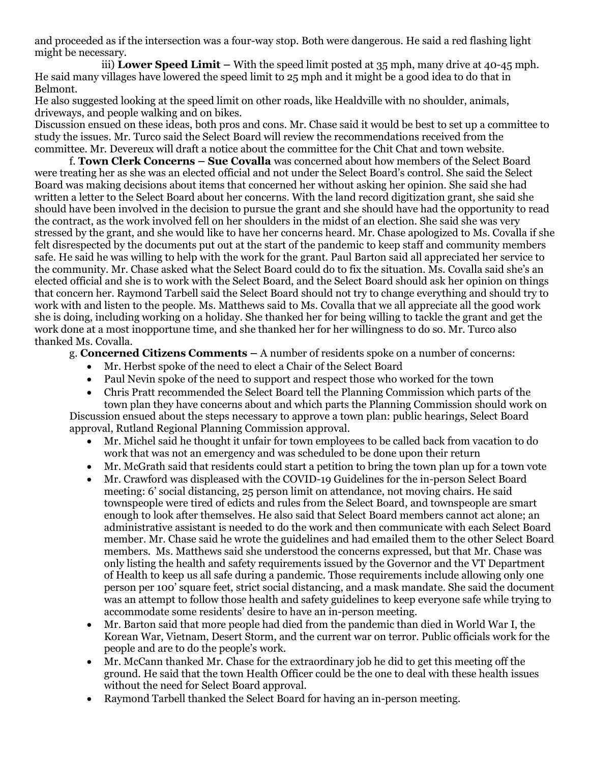and proceeded as if the intersection was a four-way stop. Both were dangerous. He said a red flashing light might be necessary.

iii) **Lower Speed Limit –** With the speed limit posted at 35 mph, many drive at 40-45 mph. He said many villages have lowered the speed limit to 25 mph and it might be a good idea to do that in Belmont.

He also suggested looking at the speed limit on other roads, like Healdville with no shoulder, animals, driveways, and people walking and on bikes.

Discussion ensued on these ideas, both pros and cons. Mr. Chase said it would be best to set up a committee to study the issues. Mr. Turco said the Select Board will review the recommendations received from the committee. Mr. Devereux will draft a notice about the committee for the Chit Chat and town website.

f. **Town Clerk Concerns – Sue Covalla** was concerned about how members of the Select Board were treating her as she was an elected official and not under the Select Board's control. She said the Select Board was making decisions about items that concerned her without asking her opinion. She said she had written a letter to the Select Board about her concerns. With the land record digitization grant, she said she should have been involved in the decision to pursue the grant and she should have had the opportunity to read the contract, as the work involved fell on her shoulders in the midst of an election. She said she was very stressed by the grant, and she would like to have her concerns heard. Mr. Chase apologized to Ms. Covalla if she felt disrespected by the documents put out at the start of the pandemic to keep staff and community members safe. He said he was willing to help with the work for the grant. Paul Barton said all appreciated her service to the community. Mr. Chase asked what the Select Board could do to fix the situation. Ms. Covalla said she's an elected official and she is to work with the Select Board, and the Select Board should ask her opinion on things that concern her. Raymond Tarbell said the Select Board should not try to change everything and should try to work with and listen to the people. Ms. Matthews said to Ms. Covalla that we all appreciate all the good work she is doing, including working on a holiday. She thanked her for being willing to tackle the grant and get the work done at a most inopportune time, and she thanked her for her willingness to do so. Mr. Turco also thanked Ms. Covalla.

## g. **Concerned Citizens Comments –** A number of residents spoke on a number of concerns:

- Mr. Herbst spoke of the need to elect a Chair of the Select Board
- Paul Nevin spoke of the need to support and respect those who worked for the town
- Chris Pratt recommended the Select Board tell the Planning Commission which parts of the town plan they have concerns about and which parts the Planning Commission should work on

Discussion ensued about the steps necessary to approve a town plan: public hearings, Select Board approval, Rutland Regional Planning Commission approval.

- Mr. Michel said he thought it unfair for town employees to be called back from vacation to do work that was not an emergency and was scheduled to be done upon their return
- Mr. McGrath said that residents could start a petition to bring the town plan up for a town vote
- Mr. Crawford was displeased with the COVID-19 Guidelines for the in-person Select Board meeting: 6' social distancing, 25 person limit on attendance, not moving chairs. He said townspeople were tired of edicts and rules from the Select Board, and townspeople are smart enough to look after themselves. He also said that Select Board members cannot act alone; an administrative assistant is needed to do the work and then communicate with each Select Board member. Mr. Chase said he wrote the guidelines and had emailed them to the other Select Board members. Ms. Matthews said she understood the concerns expressed, but that Mr. Chase was only listing the health and safety requirements issued by the Governor and the VT Department of Health to keep us all safe during a pandemic. Those requirements include allowing only one person per 100' square feet, strict social distancing, and a mask mandate. She said the document was an attempt to follow those health and safety guidelines to keep everyone safe while trying to accommodate some residents' desire to have an in-person meeting.
- Mr. Barton said that more people had died from the pandemic than died in World War I, the Korean War, Vietnam, Desert Storm, and the current war on terror. Public officials work for the people and are to do the people's work.
- Mr. McCann thanked Mr. Chase for the extraordinary job he did to get this meeting off the ground. He said that the town Health Officer could be the one to deal with these health issues without the need for Select Board approval.
- Raymond Tarbell thanked the Select Board for having an in-person meeting.